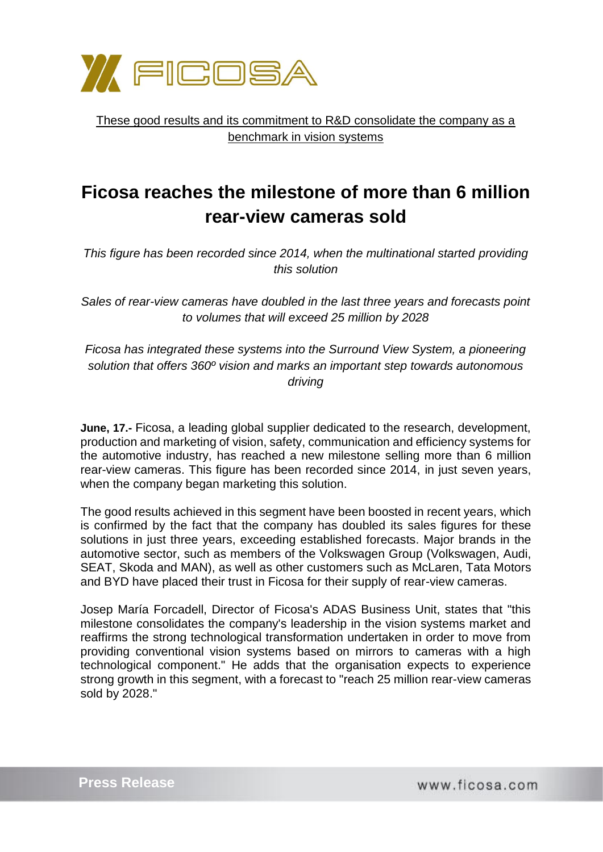

These good results and its commitment to R&D consolidate the company as a benchmark in vision systems

## **Ficosa reaches the milestone of more than 6 million rear-view cameras sold**

*This figure has been recorded since 2014, when the multinational started providing this solution*

*Sales of rear-view cameras have doubled in the last three years and forecasts point to volumes that will exceed 25 million by 2028*

*Ficosa has integrated these systems into the Surround View System, a pioneering solution that offers 360º vision and marks an important step towards autonomous driving*

**June, 17.-** Ficosa, a leading global supplier dedicated to the research, development, production and marketing of vision, safety, communication and efficiency systems for the automotive industry, has reached a new milestone selling more than 6 million rear-view cameras. This figure has been recorded since 2014, in just seven years, when the company began marketing this solution.

The good results achieved in this segment have been boosted in recent years, which is confirmed by the fact that the company has doubled its sales figures for these solutions in just three years, exceeding established forecasts. Major brands in the automotive sector, such as members of the Volkswagen Group (Volkswagen, Audi, SEAT, Skoda and MAN), as well as other customers such as McLaren, Tata Motors and BYD have placed their trust in Ficosa for their supply of rear-view cameras.

Josep María Forcadell, Director of Ficosa's ADAS Business Unit, states that "this milestone consolidates the company's leadership in the vision systems market and reaffirms the strong technological transformation undertaken in order to move from providing conventional vision systems based on mirrors to cameras with a high technological component." He adds that the organisation expects to experience strong growth in this segment, with a forecast to "reach 25 million rear-view cameras sold by 2028."

www.ficosa.com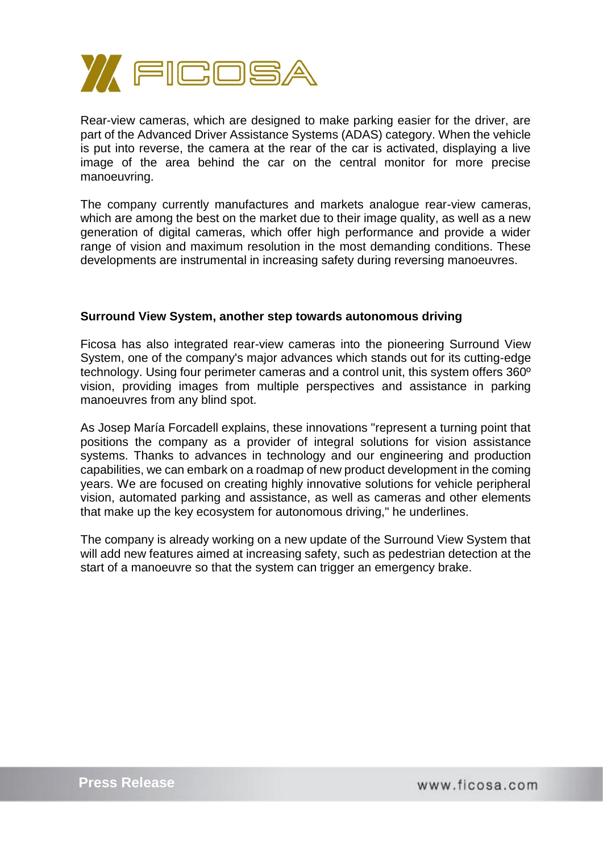

Rear-view cameras, which are designed to make parking easier for the driver, are part of the Advanced Driver Assistance Systems (ADAS) category. When the vehicle is put into reverse, the camera at the rear of the car is activated, displaying a live image of the area behind the car on the central monitor for more precise manoeuvring.

The company currently manufactures and markets analogue rear-view cameras, which are among the best on the market due to their image quality, as well as a new generation of digital cameras, which offer high performance and provide a wider range of vision and maximum resolution in the most demanding conditions. These developments are instrumental in increasing safety during reversing manoeuvres.

## **Surround View System, another step towards autonomous driving**

Ficosa has also integrated rear-view cameras into the pioneering Surround View System, one of the company's major advances which stands out for its cutting-edge technology. Using four perimeter cameras and a control unit, this system offers 360º vision, providing images from multiple perspectives and assistance in parking manoeuvres from any blind spot.

As Josep María Forcadell explains, these innovations "represent a turning point that positions the company as a provider of integral solutions for vision assistance systems. Thanks to advances in technology and our engineering and production capabilities, we can embark on a roadmap of new product development in the coming years. We are focused on creating highly innovative solutions for vehicle peripheral vision, automated parking and assistance, as well as cameras and other elements that make up the key ecosystem for autonomous driving," he underlines.

The company is already working on a new update of the Surround View System that will add new features aimed at increasing safety, such as pedestrian detection at the start of a manoeuvre so that the system can trigger an emergency brake.